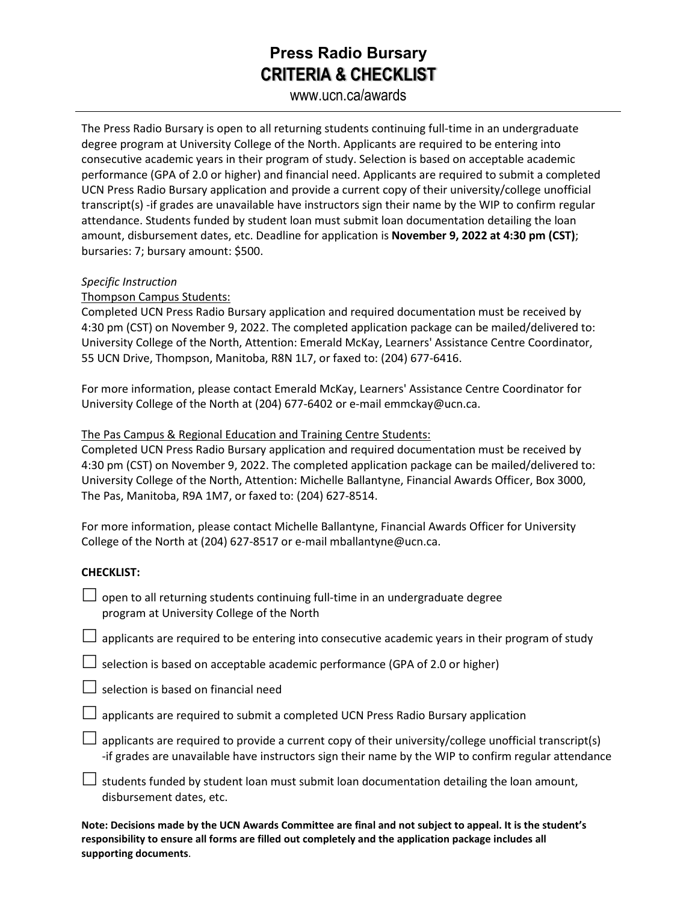## **Press Radio Bursary CRITERIA & CHECKLIST**

www.ucn.ca/awards

The Press Radio Bursary is open to all returning students continuing full-time in an undergraduate degree program at University College of the North. Applicants are required to be entering into consecutive academic years in their program of study. Selection is based on acceptable academic performance (GPA of 2.0 or higher) and financial need. Applicants are required to submit a completed UCN Press Radio Bursary application and provide a current copy of their university/college unofficial transcript(s) -if grades are unavailable have instructors sign their name by the WIP to confirm regular attendance. Students funded by student loan must submit loan documentation detailing the loan amount, disbursement dates, etc. Deadline for application is **November 9, 2022 at 4:30 pm (CST)**; bursaries: 7; bursary amount: \$500.

#### *Specific Instruction*

Thompson Campus Students:

Completed UCN Press Radio Bursary application and required documentation must be received by 4:30 pm (CST) on November 9, 2022. The completed application package can be mailed/delivered to: University College of the North, Attention: Emerald McKay, Learners' Assistance Centre Coordinator, 55 UCN Drive, Thompson, Manitoba, R8N 1L7, or faxed to: (204) 677-6416.

For more information, please contact Emerald McKay, Learners' Assistance Centre Coordinator for University College of the North at (204) 677-6402 or e-mail emmckay@ucn.ca.

### The Pas Campus & Regional Education and Training Centre Students:

Completed UCN Press Radio Bursary application and required documentation must be received by 4:30 pm (CST) on November 9, 2022. The completed application package can be mailed/delivered to: University College of the North, Attention: Michelle Ballantyne, Financial Awards Officer, Box 3000, The Pas, Manitoba, R9A 1M7, or faxed to: (204) 627-8514.

For more information, please contact Michelle Ballantyne, Financial Awards Officer for University College of the North at (204) 627-8517 or e-mail mballantyne@ucn.ca.

### **CHECKLIST:**

 $\Box$  open to all returning students continuing full-time in an undergraduate degree program at University College of the North

 $\Box$  applicants are required to be entering into consecutive academic years in their program of study

 $\Box$  selection is based on acceptable academic performance (GPA of 2.0 or higher)

 $\Box$  selection is based on financial need

applicants are required to submit a completed UCN Press Radio Bursary application

 $\Box$  applicants are required to provide a current copy of their university/college unofficial transcript(s) -if grades are unavailable have instructors sign their name by the WIP to confirm regular attendance

 $\Box$  students funded by student loan must submit loan documentation detailing the loan amount, disbursement dates, etc.

**Note: Decisions made by the UCN Awards Committee are final and not subject to appeal. It is the student's responsibility to ensure all forms are filled out completely and the application package includes all supporting documents**.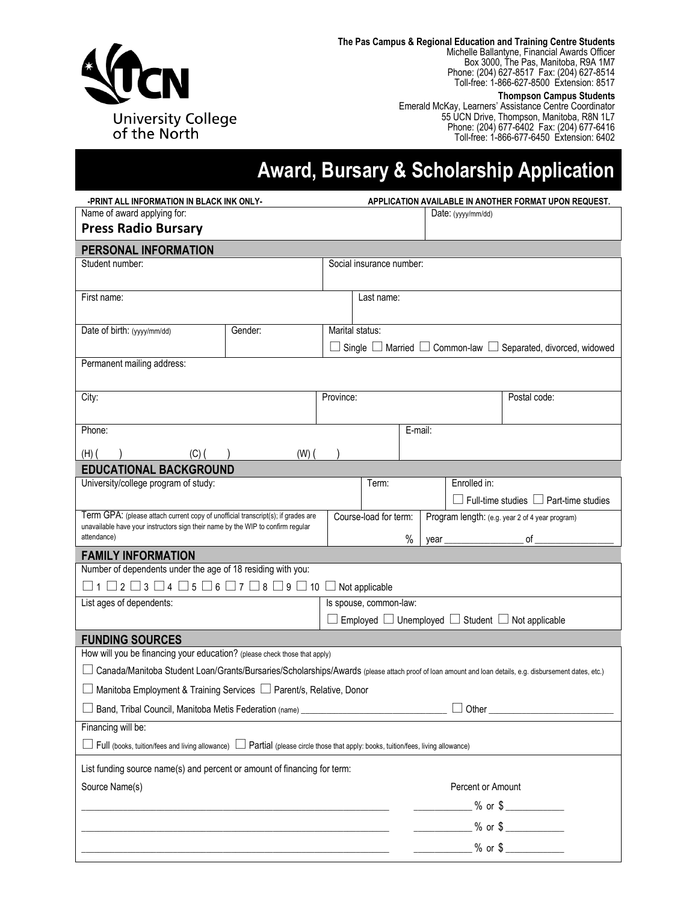

**The Pas Campus & Regional Education and Training Centre Students** Michelle Ballantyne, Financial Awards Officer Box 3000, The Pas, Manitoba, R9A 1M7 Phone: (204) 627-8517 Fax: (204) 627-8514

Toll-free: 1-866-627-8500 Extension: 8517

#### **Thompson Campus Students**

Emerald McKay, Learners' Assistance Centre Coordinator 55 UCN Drive, Thompson, Manitoba, R8N 1L7 Phone: (204) 677-6402 Fax: (204) 677-6416 Toll-free: 1-866-677-6450 Extension: 6402

# **Award, Bursary & Scholarship Application**

|                                                                                                                                                                                    | -PRINT ALL INFORMATION IN BLACK INK ONLY- |           |                          |         | APPLICATION AVAILABLE IN ANOTHER FORMAT UPON REQUEST.           |                                                                             |  |  |  |
|------------------------------------------------------------------------------------------------------------------------------------------------------------------------------------|-------------------------------------------|-----------|--------------------------|---------|-----------------------------------------------------------------|-----------------------------------------------------------------------------|--|--|--|
| Name of award applying for:                                                                                                                                                        |                                           |           |                          |         | Date: $(yyy/mm/dd)$                                             |                                                                             |  |  |  |
| <b>Press Radio Bursary</b>                                                                                                                                                         |                                           |           |                          |         |                                                                 |                                                                             |  |  |  |
| PERSONAL INFORMATION                                                                                                                                                               |                                           |           |                          |         |                                                                 |                                                                             |  |  |  |
| Student number:                                                                                                                                                                    |                                           |           | Social insurance number: |         |                                                                 |                                                                             |  |  |  |
| First name:                                                                                                                                                                        |                                           |           | Last name:               |         |                                                                 |                                                                             |  |  |  |
| Date of birth: (yyyy/mm/dd)                                                                                                                                                        | Gender:                                   |           | Marital status:          |         |                                                                 |                                                                             |  |  |  |
|                                                                                                                                                                                    |                                           |           |                          |         |                                                                 | Single $\Box$ Married $\Box$ Common-law $\Box$ Separated, divorced, widowed |  |  |  |
| Permanent mailing address:                                                                                                                                                         |                                           |           |                          |         |                                                                 |                                                                             |  |  |  |
| City:                                                                                                                                                                              |                                           | Province: |                          |         |                                                                 | Postal code:                                                                |  |  |  |
| Phone:                                                                                                                                                                             |                                           |           |                          | E-mail: |                                                                 |                                                                             |  |  |  |
|                                                                                                                                                                                    |                                           |           |                          |         |                                                                 |                                                                             |  |  |  |
| $(H)$ (<br>(C) (                                                                                                                                                                   | $(W)$ (                                   |           |                          |         |                                                                 |                                                                             |  |  |  |
| <b>EDUCATIONAL BACKGROUND</b><br>University/college program of study:                                                                                                              |                                           |           | Term:                    |         | Enrolled in:                                                    |                                                                             |  |  |  |
|                                                                                                                                                                                    |                                           |           |                          |         |                                                                 | $\Box$ Full-time studies $\Box$ Part-time studies                           |  |  |  |
| Term GPA: (please attach current copy of unofficial transcript(s); if grades are<br>unavailable have your instructors sign their name by the WIP to confirm regular<br>attendance) |                                           |           | Course-load for term:    |         | Program length: (e.g. year 2 of 4 year program)                 |                                                                             |  |  |  |
|                                                                                                                                                                                    |                                           |           |                          |         |                                                                 |                                                                             |  |  |  |
|                                                                                                                                                                                    |                                           |           |                          | %       | year                                                            | of                                                                          |  |  |  |
| <b>FAMILY INFORMATION</b>                                                                                                                                                          |                                           |           |                          |         |                                                                 |                                                                             |  |  |  |
| Number of dependents under the age of 18 residing with you:                                                                                                                        |                                           |           |                          |         |                                                                 |                                                                             |  |  |  |
| $\Box$ 1 $\Box$ 2 $\Box$ 3 $\Box$ 4 $\Box$ 5 $\Box$ 6 $\Box$ 7 $\Box$ 8 $\Box$ 9 $\Box$ 10 $\Box$ Not applicable                                                                   |                                           |           |                          |         |                                                                 |                                                                             |  |  |  |
| List ages of dependents:                                                                                                                                                           |                                           |           | Is spouse, common-law:   |         |                                                                 |                                                                             |  |  |  |
|                                                                                                                                                                                    |                                           |           |                          |         | Employed $\Box$ Unemployed $\Box$ Student $\Box$ Not applicable |                                                                             |  |  |  |
| <b>FUNDING SOURCES</b>                                                                                                                                                             |                                           |           |                          |         |                                                                 |                                                                             |  |  |  |
| How will you be financing your education? (please check those that apply)                                                                                                          |                                           |           |                          |         |                                                                 |                                                                             |  |  |  |
| Canada/Manitoba Student Loan/Grants/Bursaries/Scholarships/Awards (please attach proof of loan amount and loan details, e.g. disbursement dates, etc.)                             |                                           |           |                          |         |                                                                 |                                                                             |  |  |  |
| □ Manitoba Employment & Training Services □ Parent/s, Relative, Donor                                                                                                              |                                           |           |                          |         |                                                                 |                                                                             |  |  |  |
| □ Band, Tribal Council, Manitoba Metis Federation (name)                                                                                                                           |                                           |           |                          |         | $\Box$ Other                                                    |                                                                             |  |  |  |
| Financing will be:                                                                                                                                                                 |                                           |           |                          |         |                                                                 |                                                                             |  |  |  |
| $\Box$ Full (books, tuition/fees and living allowance) $~\Box$ Partial (please circle those that apply: books, tuition/fees, living allowance)                                     |                                           |           |                          |         |                                                                 |                                                                             |  |  |  |
| List funding source name(s) and percent or amount of financing for term:                                                                                                           |                                           |           |                          |         |                                                                 |                                                                             |  |  |  |
| Source Name(s)                                                                                                                                                                     |                                           |           |                          |         | Percent or Amount                                               |                                                                             |  |  |  |
|                                                                                                                                                                                    |                                           |           |                          |         |                                                                 | $%$ or $\frac{6}{2}$                                                        |  |  |  |
|                                                                                                                                                                                    |                                           |           |                          |         | $\frac{9}{6}$ or \$                                             |                                                                             |  |  |  |
|                                                                                                                                                                                    |                                           |           |                          |         | $\frac{1}{2}$ % or \$                                           |                                                                             |  |  |  |